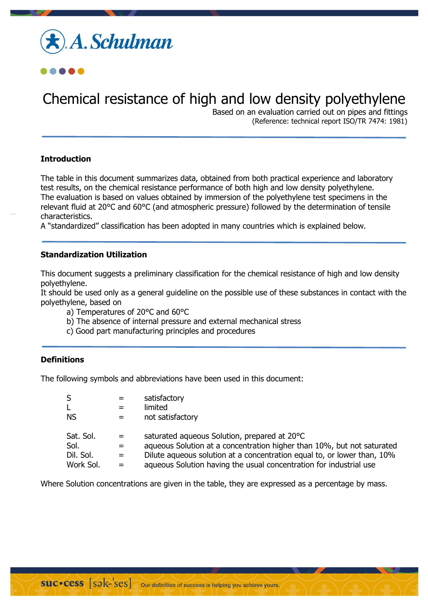



# Chemical resistance of high and low density polyethylene

Based on an evaluation carried out on pipes and fittings (Reference: technical report ISO/TR 7474: 1981)

# **Introduction**

The table in this document summarizes data, obtained from both practical experience and laboratory test results, on the chemical resistance performance of both high and low density polyethylene. The evaluation is based on values obtained by immersion of the polyethylene test specimens in the relevant fluid at 20°C and 60°C (and atmospheric pressure) followed by the determination of tensile characteristics.

A "standardized" classification has been adopted in many countries which is explained below.

## **Standardization Utilization**

This document suggests a preliminary classification for the chemical resistance of high and low density polyethylene.

It should be used only as a general guideline on the possible use of these substances in contact with the polyethylene, based on

- a) Temperatures of 20°C and 60°C
- b) The absence of internal pressure and external mechanical stress
- c) Good part manufacturing principles and procedures

## **Definitions**

The following symbols and abbreviations have been used in this document:

| S<br>$\mathsf{L}$<br><b>NS</b> | $=$<br>$=$ | satisfactory<br>limited<br>not satisfactory                             |
|--------------------------------|------------|-------------------------------------------------------------------------|
| Sat. Sol.                      | $=$        | saturated agueous Solution, prepared at 20°C                            |
| Sol.                           | $=$        | aqueous Solution at a concentration higher than 10%, but not saturated  |
| Dil. Sol.                      | $=$        | Dilute aqueous solution at a concentration equal to, or lower than, 10% |
| Work Sol.                      | $=$        | aqueous Solution having the usual concentration for industrial use      |

Where Solution concentrations are given in the table, they are expressed as a percentage by mass.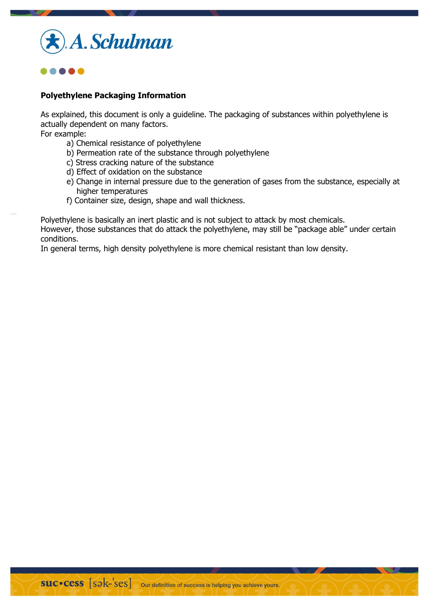



## **Polyethylene Packaging Information**

As explained, this document is only a guideline. The packaging of substances within polyethylene is actually dependent on many factors.

For example:

- a) Chemical resistance of polyethylene
- b) Permeation rate of the substance through polyethylene
- c) Stress cracking nature of the substance
- d) Effect of oxidation on the substance
- e) Change in internal pressure due to the generation of gases from the substance, especially at higher temperatures
- f) Container size, design, shape and wall thickness.

Polyethylene is basically an inert plastic and is not subject to attack by most chemicals.

However, those substances that do attack the polyethylene, may still be "package able" under certain conditions.

In general terms, high density polyethylene is more chemical resistant than low density.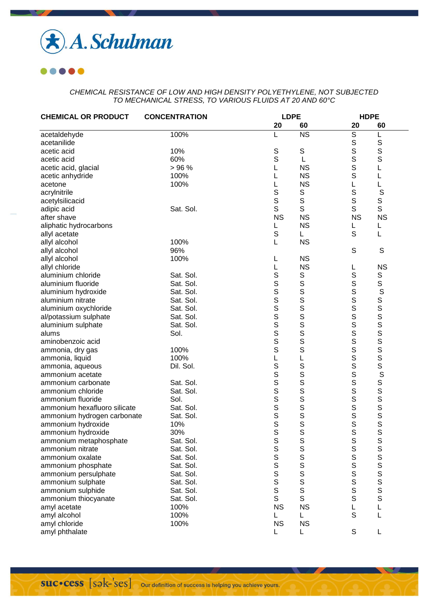

| <b>CHEMICAL OR PRODUCT</b>   | <b>CONCENTRATION</b> |                  | <b>LDPE</b>            |                | <b>HDPE</b>                                                                                                                           |
|------------------------------|----------------------|------------------|------------------------|----------------|---------------------------------------------------------------------------------------------------------------------------------------|
|                              |                      | 20               | 60                     | 20             | 60                                                                                                                                    |
| acetaldehyde                 | 100%                 |                  | $\overline{\text{NS}}$ | $\overline{S}$ | L                                                                                                                                     |
| acetanilide                  |                      |                  |                        | S              | $\mathbb S$                                                                                                                           |
| acetic acid                  | 10%                  | $\mathsf S$      | $\mathbb S$            | S              | $\mathbf S$                                                                                                                           |
| acetic acid                  | 60%                  | $\mathbb S$      | L                      | S              | $\mathbb S$                                                                                                                           |
| acetic acid, glacial         | >96%                 | L                | <b>NS</b>              | S              | L                                                                                                                                     |
| acetic anhydride             | 100%                 | L                | <b>NS</b>              | S              | L                                                                                                                                     |
| acetone                      | 100%                 | L                | <b>NS</b>              | L              | L                                                                                                                                     |
| acrylnitrile                 |                      | S                | $\mathbb S$            | S              | S                                                                                                                                     |
| acetylsilicacid              |                      | S                | $\mathsf S$            | S              | S                                                                                                                                     |
| adipic acid                  | Sat. Sol.            | S                | S                      | S              | S                                                                                                                                     |
| after shave                  |                      | <b>NS</b>        | <b>NS</b>              | <b>NS</b>      | <b>NS</b>                                                                                                                             |
| aliphatic hydrocarbons       |                      |                  | <b>NS</b>              |                | L                                                                                                                                     |
| allyl acetate                |                      | $\mathsf S$      | L.                     | S              | L                                                                                                                                     |
| allyl alcohol                | 100%                 | L                | <b>NS</b>              |                |                                                                                                                                       |
| allyl alcohol                | 96%                  |                  |                        | S              | $\mathsf S$                                                                                                                           |
| allyl alcohol                | 100%                 | L                | <b>NS</b>              |                |                                                                                                                                       |
| allyl chloride               |                      | L                | <b>NS</b>              | L              | <b>NS</b>                                                                                                                             |
| aluminium chloride           | Sat. Sol.            | $\mathsf S$      | S                      | S              | S                                                                                                                                     |
| aluminium fluoride           | Sat. Sol.            |                  | $\mathbf S$            | S              | S                                                                                                                                     |
|                              | Sat. Sol.            |                  | S                      | S              |                                                                                                                                       |
| aluminium hydroxide          |                      | S<br>S<br>S<br>S | S                      |                | S                                                                                                                                     |
| aluminium nitrate            | Sat. Sol.            |                  | S                      | s<br>s         |                                                                                                                                       |
| aluminium oxychloride        | Sat. Sol.            |                  |                        |                |                                                                                                                                       |
| al/potassium sulphate        | Sat. Sol.            | S<br>S<br>S      | S                      | S              | S<br>S<br>S<br>S<br>S<br>S<br>S<br>S<br>S<br>S<br>S<br>S<br>S<br><br><br><br><br><br><br><br><br><br><br><br><br>                     |
| aluminium sulphate           | Sat. Sol.            |                  | S                      | S              |                                                                                                                                       |
| alums                        | Sol.                 |                  | S                      | S              |                                                                                                                                       |
| aminobenzoic acid            |                      | S                | S                      | S              |                                                                                                                                       |
| ammonia, dry gas             | 100%                 | S                | S                      | S              |                                                                                                                                       |
| ammonia, liquid              | 100%                 | L                | L                      | S              |                                                                                                                                       |
| ammonia, aqueous             | Dil. Sol.            | S                | S                      | S              |                                                                                                                                       |
| ammonium acetate             |                      | S<br>S<br>S      | S                      | S              | S                                                                                                                                     |
| ammonium carbonate           | Sat. Sol.            |                  | S                      | S              |                                                                                                                                       |
| ammonium chloride            | Sat. Sol.            |                  | S                      | S              |                                                                                                                                       |
| ammonium fluoride            | Sol.                 | S                | S                      | S              |                                                                                                                                       |
| ammonium hexafluoro silicate | Sat. Sol.            | S                | S                      | S              |                                                                                                                                       |
| ammonium hydrogen carbonate  | Sat. Sol.            | $\bar{s}$        | S                      | S              |                                                                                                                                       |
| ammonium hydroxide           | 10%                  | S                | S                      | S              | SSSSSSS                                                                                                                               |
| ammonium hydroxide           | 30%                  | S                | S                      | S              |                                                                                                                                       |
| ammonium metaphosphate       | Sat. Sol.            | $\mathbb S$      | $\mathsf S$            | $\mathbb S$    | S                                                                                                                                     |
| ammonium nitrate             | Sat. Sol.            | S                | S                      | S              |                                                                                                                                       |
| ammonium oxalate             | Sat. Sol.            | S<br>S<br>S      | S                      | $\mathsf S$    |                                                                                                                                       |
| ammonium phosphate           | Sat. Sol.            |                  | S                      | S              |                                                                                                                                       |
| ammonium persulphate         | Sat. Sol.            |                  | S                      | S              |                                                                                                                                       |
| ammonium sulphate            | Sat. Sol.            | S                | S<br>S                 | s<br>s         | S<br>S<br>S<br>S<br>S<br>S<br>S<br>S<br>S<br>S<br>S<br>S<br>S<br><br><br><br><br><br><br><br><br><br><br><br><br><br><br><br><br><br> |
| ammonium sulphide            | Sat. Sol.            | S                |                        |                |                                                                                                                                       |
| ammonium thiocyanate         | Sat. Sol.            | S                | S                      | S              |                                                                                                                                       |
| amyl acetate                 | 100%                 | <b>NS</b>        | <b>NS</b>              |                | L                                                                                                                                     |
| amyl alcohol                 | 100%                 | L                | L.                     | $\mathbf S$    | L                                                                                                                                     |
| amyl chloride                | 100%                 | <b>NS</b>        | <b>NS</b>              |                |                                                                                                                                       |
| amyl phthalate               |                      |                  |                        | $\mathsf S$    |                                                                                                                                       |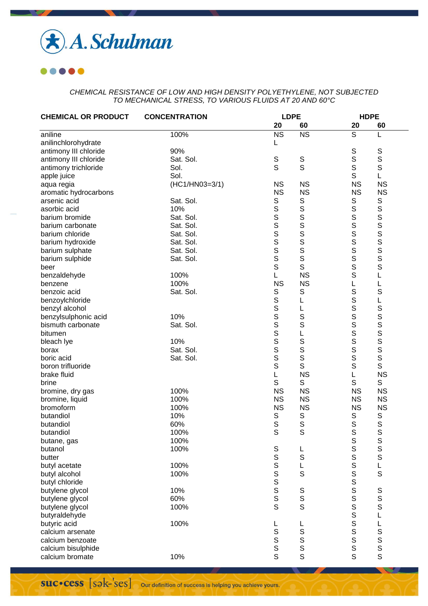

| <b>CHEMICAL OR PRODUCT</b> | <b>CONCENTRATION</b> |                | <b>LDPE</b>            |                                 | <b>HDPE</b>      |  |
|----------------------------|----------------------|----------------|------------------------|---------------------------------|------------------|--|
|                            |                      | 20             | 60                     | 20                              | 60               |  |
| aniline                    | 100%                 | <b>NS</b>      | $\overline{\text{NS}}$ | $\overline{s}$                  | L                |  |
| anilinchlorohydrate        |                      | L              |                        |                                 |                  |  |
| antimony III chloride      | 90%                  |                |                        | S                               | S                |  |
| antimony III chloride      | Sat. Sol.            | $\mathbb S$    | $\mathbb S$            | S                               | $\mathsf S$      |  |
| antimony trichloride       | Sol.                 | S              | S                      | $\mathsf S$                     | $\mathsf S$      |  |
| apple juice                | Sol.                 |                |                        | S                               | L                |  |
| aqua regia                 | (HC1/HN03=3/1)       | <b>NS</b>      | <b>NS</b>              | <b>NS</b>                       | <b>NS</b>        |  |
| aromatic hydrocarbons      |                      | <b>NS</b>      | <b>NS</b>              | <b>NS</b>                       | <b>NS</b>        |  |
| arsenic acid               | Sat. Sol.            | $\mathbb S$    |                        | $\mathbb S$                     | $\mathbf S$      |  |
| asorbic acid               | 10%                  |                | SSSSSSS                | $\mathbb S$                     | S                |  |
| barium bromide             | Sat. Sol.            | S<br>S<br>S    |                        | $\mathsf S$                     |                  |  |
| barium carbonate           | Sat. Sol.            |                |                        | S                               |                  |  |
| barium chloride            | Sat. Sol.            |                |                        | S                               |                  |  |
| barium hydroxide           | Sat. Sol.            | $\overline{s}$ |                        | S                               |                  |  |
| barium sulphate            | Sat. Sol.            | S              |                        | $\mathsf S$                     |                  |  |
| barium sulphide            | Sat. Sol.            | S              | $\mathsf S$            | S                               | SSSSS            |  |
|                            |                      | $\mathsf S$    | S                      | $\mathbb S$                     | S                |  |
| beer                       | 100%                 | L              | <b>NS</b>              | $\mathbf S$                     |                  |  |
| benzaldehyde               | 100%                 | <b>NS</b>      | <b>NS</b>              |                                 | L                |  |
| benzene                    |                      |                |                        | L                               | L                |  |
| benzoic acid               | Sat. Sol.            | S              | S                      | $\mathbb S$                     | S                |  |
| benzoylchloride            |                      | S              | L                      | $\mathbb S$                     | L                |  |
| benzyl alcohol             |                      |                | L                      | $\mathbb S$                     | S                |  |
| benzylsulphonic acid       | 10%                  |                | S                      | S                               | S                |  |
| bismuth carbonate          | Sat. Sol.            | SSSS           | S                      | $\mathbb S$                     | S<br>S<br>S<br>S |  |
| bitumen                    |                      |                | L                      | $\overline{s}$                  |                  |  |
| bleach lye                 | 10%                  |                | s<br>s                 |                                 |                  |  |
| borax                      | Sat. Sol.            | S              |                        | $\mathsf S$                     |                  |  |
| boric acid                 | Sat. Sol.            | S              | S                      | S                               | S                |  |
| boron trifluoride          |                      | S              | S                      | $\mathsf S$                     | S                |  |
| brake fluid                |                      | L              | <b>NS</b>              | L                               | <b>NS</b>        |  |
| brine                      |                      | S              | $\mathbb S$            | S                               | S                |  |
| bromine, dry gas           | 100%                 | <b>NS</b>      | <b>NS</b>              | <b>NS</b>                       | <b>NS</b>        |  |
| bromine, liquid            | 100%                 | <b>NS</b>      | <b>NS</b>              | <b>NS</b>                       | <b>NS</b>        |  |
| bromoform                  | 100%                 | <b>NS</b>      | <b>NS</b>              | <b>NS</b>                       | <b>NS</b>        |  |
| butandiol                  | 10%                  | S              | S                      | S                               | $\mathbb S$      |  |
| butandiol                  | 60%                  | S              | S                      | $\mathbb S$                     | $\mathbb S$      |  |
| butandiol                  | 100%                 | S              | S                      | $\mathsf S$                     | S                |  |
| butane, gas                | 100%                 |                |                        | $\frac{\mathsf{S}}{\mathsf{S}}$ | S<br>S<br>S      |  |
| butanol                    | 100%                 | S<br>S<br>S    | L                      |                                 |                  |  |
| butter                     |                      |                | S                      | $\frac{5}{5}$                   |                  |  |
| butyl acetate              | 100%                 |                | L                      |                                 | $\mathsf{L}$     |  |
| butyl alcohol              | 100%                 | SSSS           | S                      | $\mathbb S$                     | $\mathsf S$      |  |
| butyl chloride             |                      |                |                        | SSSS                            |                  |  |
| butylene glycol            | 10%                  |                |                        |                                 |                  |  |
| butylene glycol            | 60%                  |                | s<br>s<br>s            |                                 | s<br>s<br>s      |  |
| butylene glycol            | 100%                 |                |                        |                                 |                  |  |
| butyraldehyde              |                      |                |                        |                                 | L                |  |
| butyric acid               | 100%                 | L              | L                      | $\mathbb S$                     |                  |  |
| calcium arsenate           |                      | S<br>S<br>S    |                        | s<br>s                          |                  |  |
| calcium benzoate           |                      |                |                        |                                 |                  |  |
| calcium bisulphide         |                      |                | S<br>S<br>S<br>S       | S                               | Lssss            |  |
| calcium bromate            | 10%                  | S              |                        | $\mathsf{s}$                    |                  |  |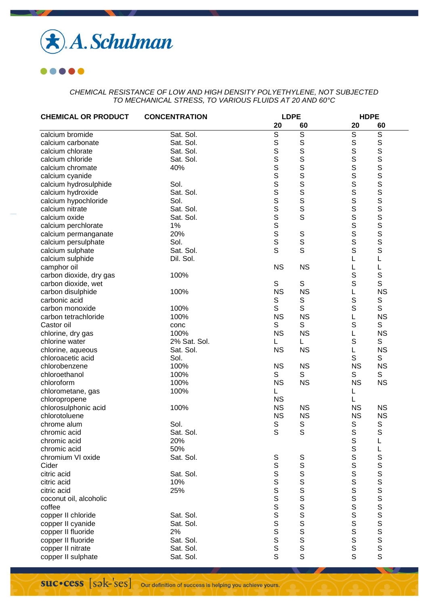

| <b>CHEMICAL OR PRODUCT</b>          | <b>CONCENTRATION</b> |                    | <b>LDPE</b>    |                  | <b>HDPE</b>                                                                        |  |  |
|-------------------------------------|----------------------|--------------------|----------------|------------------|------------------------------------------------------------------------------------|--|--|
|                                     |                      | 20                 | 60             | 20               | 60                                                                                 |  |  |
| calcium bromide                     | Sat. Sol.            | $\overline{s}$     | $\overline{S}$ | $\mathbb S$      | $\overline{s}$                                                                     |  |  |
| calcium carbonate                   | Sat. Sol.            | S                  | S              | $\mathsf S$      | $\mathbb S$                                                                        |  |  |
| calcium chlorate                    | Sat. Sol.            | S                  | S              | S                | S                                                                                  |  |  |
| calcium chloride                    | Sat. Sol.            |                    | S              | S                | S                                                                                  |  |  |
| calcium chromate                    | 40%                  |                    | S              | $\mathbb S$      | S                                                                                  |  |  |
| calcium cyanide                     |                      |                    | S              | S                |                                                                                    |  |  |
| calcium hydrosulphide               | Sol.                 |                    |                | S                | $\overline{\mathbf{s}}$                                                            |  |  |
| calcium hydroxide                   | Sat. Sol.            |                    |                | $\mathbb S$      |                                                                                    |  |  |
| calcium hypochloride                | Sol.                 | <b>SSSSSSSSSSS</b> | S<br>S<br>S    | S                | S<br>S<br>S                                                                        |  |  |
| calcium nitrate                     | Sat. Sol.            |                    | S              | S                |                                                                                    |  |  |
| calcium oxide                       | Sat. Sol.            |                    | S              | $\mathbb S$      |                                                                                    |  |  |
| calcium perchlorate                 | 1%                   |                    |                | S                |                                                                                    |  |  |
| calcium permanganate                | 20%                  |                    |                | S                | SSSS                                                                               |  |  |
| calcium persulphate                 | Sol.                 |                    | S<br>S         | S                |                                                                                    |  |  |
| calcium sulphate                    | Sat. Sol.            | S                  | S              | $\mathsf{s}$     |                                                                                    |  |  |
| calcium sulphide                    | Dil. Sol.            |                    |                | L                | L                                                                                  |  |  |
| camphor oil                         |                      | <b>NS</b>          | <b>NS</b>      | L                | L                                                                                  |  |  |
| carbon dioxide, dry gas             | 100%                 |                    |                | S                | S                                                                                  |  |  |
| carbon dioxide, wet                 |                      | S                  | S              | S                | $\mathsf S$                                                                        |  |  |
| carbon disulphide                   | 100%                 | <b>NS</b>          | <b>NS</b>      | L                | <b>NS</b>                                                                          |  |  |
| carbonic acid                       |                      | $\mathbb S$        | S              | S                | $\mathbb S$                                                                        |  |  |
| carbon monoxide                     | 100%                 | S                  | S              | S                | $\mathbb S$                                                                        |  |  |
| carbon tetrachloride                | 100%                 | <b>NS</b>          | <b>NS</b>      | L                | <b>NS</b>                                                                          |  |  |
| Castor oil                          |                      | S                  | S              | $\mathsf S$      | S                                                                                  |  |  |
|                                     | conc<br>100%         | <b>NS</b>          | <b>NS</b>      | L                | <b>NS</b>                                                                          |  |  |
| chlorine, dry gas<br>chlorine water | 2% Sat. Sol.         |                    |                | $\mathbf S$      | S                                                                                  |  |  |
|                                     | Sat. Sol.            | <b>NS</b>          | L<br><b>NS</b> | L                | <b>NS</b>                                                                          |  |  |
| chlorine, aqueous                   |                      |                    |                |                  |                                                                                    |  |  |
| chloroacetic acid                   | Sol.                 |                    |                | S                | S                                                                                  |  |  |
| chlorobenzene                       | 100%                 | <b>NS</b>          | <b>NS</b>      | <b>NS</b>        | <b>NS</b>                                                                          |  |  |
| chloroethanol                       | 100%<br>100%         | S                  | S              | S<br><b>NS</b>   | S                                                                                  |  |  |
| chloroform                          |                      | <b>NS</b>          | <b>NS</b>      |                  | <b>NS</b>                                                                          |  |  |
| chlorometane, gas                   | 100%                 | L                  |                | L                |                                                                                    |  |  |
| chloropropene                       |                      | <b>NS</b>          |                | L                |                                                                                    |  |  |
| chlorosulphonic acid                | 100%                 | <b>NS</b>          | <b>NS</b>      | <b>NS</b>        | <b>NS</b>                                                                          |  |  |
| chlorotoluene                       |                      | <b>NS</b>          | <b>NS</b>      | <b>NS</b>        | <b>NS</b>                                                                          |  |  |
| chrome alum                         | Sol.                 | S<br>S             | S<br>S         | S<br>$\mathbf S$ | $\mathbb S$<br>$\mathbf S$                                                         |  |  |
| chromic acid                        | Sat. Sol.            |                    |                |                  |                                                                                    |  |  |
| chromic acid<br>chromic acid        | 20%                  |                    |                | S                | L                                                                                  |  |  |
|                                     | 50%                  |                    |                | $\mathbf S$      | L                                                                                  |  |  |
| chromium VI oxide                   | Sat. Sol.            | S<br>S             | S<br>S         | S                | S                                                                                  |  |  |
| Cider                               |                      |                    |                | $\mathbb S$      | S                                                                                  |  |  |
| citric acid                         | Sat. Sol.            |                    | $\mathbf S$    | S                |                                                                                    |  |  |
| citric acid                         | 10%                  |                    | S              | S                |                                                                                    |  |  |
| citric acid                         | 25%                  |                    | S              | $\mathbb S$      |                                                                                    |  |  |
| coconut oil, alcoholic              |                      | SSSS               | S              | S                |                                                                                    |  |  |
| coffee                              |                      |                    | S              | S                | S<br>S<br>S<br>S<br>S<br>S<br>S<br>S<br>S<br>S<br>S<br>S<br>S<br><br>S<br><br><br> |  |  |
| copper II chloride                  | Sat. Sol.            | S<br>S<br>S<br>S   | S              | $\mathbf S$      |                                                                                    |  |  |
| copper II cyanide                   | Sat. Sol.            |                    | S              | S                |                                                                                    |  |  |
| copper II fluoride                  | 2%                   |                    | s<br>s         | S                |                                                                                    |  |  |
| copper II fluoride                  | Sat. Sol.            |                    |                | $\mathsf S$      |                                                                                    |  |  |
| copper II nitrate                   | Sat. Sol.            | $\mathsf{s}$       | $\mathsf S$    | $\mathsf S$      |                                                                                    |  |  |
| copper II sulphate                  | Sat. Sol.            | S                  | S              | S                |                                                                                    |  |  |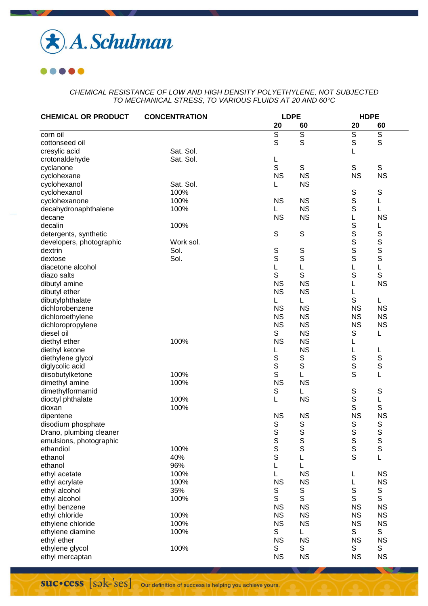

| <b>CHEMICAL OR PRODUCT</b> | <b>CONCENTRATION</b> | <b>LDPE</b> |                |                | <b>HDPE</b>    |  |
|----------------------------|----------------------|-------------|----------------|----------------|----------------|--|
|                            |                      | 20          | 60             | 20             | 60             |  |
| corn oil                   |                      | $\mathbb S$ | $\overline{s}$ | $\overline{s}$ | $\overline{s}$ |  |
| cottonseed oil             |                      | S           | S              | $\mathbb S$    | S              |  |
| cresylic acid              | Sat. Sol.            |             |                | L              |                |  |
| crotonaldehyde             | Sat. Sol.            | L           |                |                |                |  |
| cyclanone                  |                      | S           | S              | S              | ${\mathsf S}$  |  |
| cyclohexane                |                      | <b>NS</b>   | <b>NS</b>      | <b>NS</b>      | <b>NS</b>      |  |
| cyclohexanol               | Sat. Sol.            | L           | <b>NS</b>      |                |                |  |
| cyclohexanol               | 100%                 |             |                | S              | S              |  |
| cyclohexanone              | 100%                 | <b>NS</b>   | <b>NS</b>      | S              | L              |  |
| decahydronaphthalene       | 100%                 |             | <b>NS</b>      | S              | L              |  |
| decane                     |                      | <b>NS</b>   | <b>NS</b>      | L              | <b>NS</b>      |  |
| decalin                    | 100%                 |             |                | $\mathbb S$    | L              |  |
| detergents, synthetic      |                      | $\mathbb S$ | $\mathbb S$    | $\mathbb S$    | $\mathbb S$    |  |
| developers, photographic   | Work sol.            |             |                | S              | S              |  |
| dextrin                    | Sol.                 | $\mathbb S$ | $\mathsf S$    | S              | S              |  |
| dextose                    | Sol.                 | S           | S              | $\mathbb S$    | $\mathbb S$    |  |
| diacetone alcohol          |                      | L           | L              | L              | L              |  |
| diazo salts                |                      | S           | $\mathbb S$    | S              | $\mathsf S$    |  |
| dibutyl amine              |                      | <b>NS</b>   | <b>NS</b>      | L              | <b>NS</b>      |  |
| dibutyl ether              |                      | <b>NS</b>   | <b>NS</b>      | L              |                |  |
| dibutylphthalate           |                      |             | L              | S              | L              |  |
| dichlorobenzene            |                      | <b>NS</b>   | <b>NS</b>      | <b>NS</b>      | <b>NS</b>      |  |
| dichloroethylene           |                      | <b>NS</b>   | <b>NS</b>      | <b>NS</b>      | <b>NS</b>      |  |
| dichloropropylene          |                      | <b>NS</b>   | <b>NS</b>      | <b>NS</b>      | <b>NS</b>      |  |
| diesel oil                 |                      | S           | <b>NS</b>      | S              | L              |  |
| diethyl ether              | 100%                 | <b>NS</b>   | <b>NS</b>      | L              |                |  |
| diethyl ketone             |                      |             | <b>NS</b>      | L              | L              |  |
| diethylene glycol          |                      | $\mathbb S$ | S              | S              | $\mathbf S$    |  |
| diglycolic acid            |                      | S           | $\mathbb S$    | $\mathbb S$    | $\mathbb S$    |  |
| diisobutylketone           | 100%                 | S           | L              | S              | L              |  |
| dimethyl amine             | 100%                 | <b>NS</b>   | <b>NS</b>      |                |                |  |
| dimethylformamid           |                      | S           | L              | S              | S              |  |
| dioctyl phthalate          | 100%                 | L           | <b>NS</b>      | $\mathbb S$    | L              |  |
| dioxan                     | 100%                 |             |                | S              | $\mathbb S$    |  |
| dipentene                  |                      | <b>NS</b>   | <b>NS</b>      | <b>NS</b>      | <b>NS</b>      |  |
| disodium phosphate         |                      | S           | S              | S              | S              |  |
| Drano, plumbing cleaner    |                      | S           | S              | S              | S              |  |
| emulsions, photographic    |                      | $\mathbb S$ | S              | $\mathbb S$    | S              |  |
| ethandiol                  | 100%                 | S           | S              | $\mathsf S$    | $\mathbb S$    |  |
| ethanol                    | 40%                  | $\mathsf S$ | L              | S              | L              |  |
| ethanol                    | 96%                  | L           | L              |                |                |  |
| ethyl acetate              | 100%                 | Г           | <b>NS</b>      | L              | <b>NS</b>      |  |
| ethyl acrylate             | 100%                 | <b>NS</b>   | <b>NS</b>      | L              | <b>NS</b>      |  |
| ethyl alcohol              | 35%                  | S           | S              | $\mathbb S$    | S              |  |
| ethyl alcohol              | 100%                 | S           | S              | S              | S              |  |
| ethyl benzene              |                      | <b>NS</b>   | <b>NS</b>      | <b>NS</b>      | <b>NS</b>      |  |
| ethyl chloride             | 100%                 | <b>NS</b>   | <b>NS</b>      | <b>NS</b>      | <b>NS</b>      |  |
| ethylene chloride          | 100%                 | <b>NS</b>   | <b>NS</b>      | <b>NS</b>      | <b>NS</b>      |  |
| ethylene diamine           | 100%                 | S           | L              | S              | S              |  |
| ethyl ether                |                      | <b>NS</b>   | <b>NS</b>      | <b>NS</b>      | <b>NS</b>      |  |
| ethylene glycol            | 100%                 | S           | S              | S              | S              |  |
| ethyl mercaptan            |                      | <b>NS</b>   | <b>NS</b>      | <b>NS</b>      | <b>NS</b>      |  |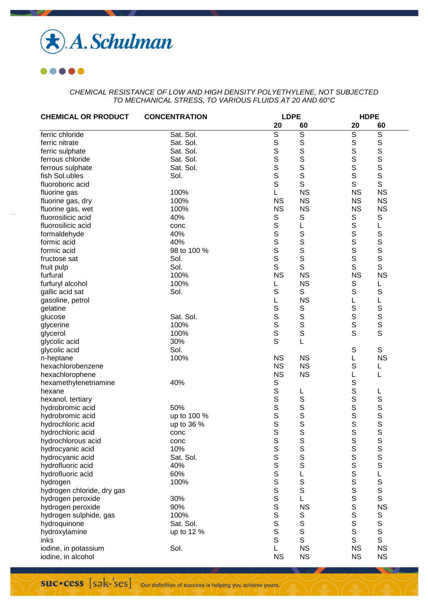

| <b>CHEMICAL OR PRODUCT</b> | <b>CONCENTRATION</b> |                | <b>LDPE</b>      |                  | <b>HDPE</b>            |  |
|----------------------------|----------------------|----------------|------------------|------------------|------------------------|--|
|                            |                      | 20             | 60               | 20               | 60                     |  |
| ferric chloride            | Sat. Sol.            | $\overline{s}$ | $\overline{s}$   | S                | $\mathbb S$            |  |
| ferric nitrate             | Sat. Sol.            | $\mathbf S$    | S                | $\mathbb S$      | $\mathbb S$            |  |
| ferric sulphate            | Sat. Sol.            | S              | S                | S                | $\mathbb S$            |  |
| ferrous chloride           | Sat. Sol.            | S              | $\mathsf{s}$     | S                | $\mathsf S$            |  |
| ferrous sulphate           | Sat. Sol.            | S              | $\mathsf{s}$     | S                | $\mathbb S$            |  |
| fish Sol.ubles             | Sol.                 | S              | $\mathbf S$      | $\mathbf S$      | $\mathbb S$            |  |
| fluoroboric acid           |                      | S              | S                | S                | $\mathsf S$            |  |
| fluorine gas               | 100%                 | L              | <b>NS</b>        | <b>NS</b>        | <b>NS</b>              |  |
| fluorine gas, dry          | 100%                 | <b>NS</b>      | <b>NS</b>        |                  | <b>NS</b><br><b>NS</b> |  |
| fluorine gas, wet          | 100%                 | <b>NS</b>      | <b>NS</b>        | <b>NS</b>        | <b>NS</b>              |  |
| fluorosilicic acid         | 40%                  | S              | $\mathbb S$      | S                | S                      |  |
| fluorosilicic acid         | conc                 | S              | L                | $\mathbb S$      | L                      |  |
| formaldehyde               | 40%                  | S              | S                | $\mathsf S$      | $\mathbb S$            |  |
| formic acid                | 40%                  | S              | S                | $\mathsf S$      | S                      |  |
| formic acid                | 98 to 100 %          | S              | S                | $\mathsf S$      | S                      |  |
| fructose sat               | Sol.                 | S              | S                | $\mathsf S$      | S                      |  |
|                            | Sol.                 | S              | S                | $\mathbf S$      | S                      |  |
| fruit pulp<br>furfural     | 100%                 | <b>NS</b>      | <b>NS</b>        |                  | <b>NS</b><br><b>NS</b> |  |
|                            | 100%                 |                | <b>NS</b>        |                  |                        |  |
| furfuryl alcohol           | Sol.                 | S              | S                | S<br>$\mathbb S$ | L                      |  |
| gallic acid sat            |                      |                |                  |                  | $\mathbb S$            |  |
| gasoline, petrol           |                      | L              | <b>NS</b>        | L                | L                      |  |
| gelatine                   |                      | S<br>S         | $\mathbb S$<br>S | $\mathbb S$      | $\mathbb S$            |  |
| glucose                    | Sat. Sol.            | S              |                  | S                | S                      |  |
| glycerine                  | 100%                 | S              | S                | $\mathbb S$<br>S | S<br>$\mathsf{S}$      |  |
| glycerol                   | 100%                 | S              | S                |                  |                        |  |
| glycolic acid              | 30%                  |                | L                |                  |                        |  |
| glycolic acid              | Sol.                 |                |                  | $\mathbb S$      | S                      |  |
| n-heptane                  | 100%                 | <b>NS</b>      | <b>NS</b>        | L                | <b>NS</b>              |  |
| hexachlorobenzene          |                      | <b>NS</b>      | <b>NS</b>        | S                | L                      |  |
| hexachlorophene            |                      | <b>NS</b>      | <b>NS</b>        | L                | L                      |  |
| hexamethylenetriamine      | 40%                  | $\mathbb S$    |                  | S                |                        |  |
| hexane                     |                      | S              | L                | S                | L                      |  |
| hexanol, tertiary          |                      | S              | $\mathbb S$      | S                | S                      |  |
| hydrobromic acid           | 50%                  | S              | $\mathbb S$      | $\mathsf S$      | S                      |  |
| hydrobromic acid           | up to 100 %          | S              | S                | S                | S                      |  |
| hydrochloric acid          | up to 36 %           | S              | S                | S                | S                      |  |
| hydrochloric acid          | conc                 | S              | S                | S                | $\mathsf S$            |  |
| hydrochlorous acid         | conc                 | $\mathbb S$    | S                | S                | S                      |  |
| hydrocyanic acid           | 10%                  | S              | S                | $\mathbf S$      | S                      |  |
| hydrocyanic acid           | Sat. Sol.            |                | S                | $\mathsf S$      | S                      |  |
| hydrofluoric acid          | 40%                  |                | $\mathsf S$      | $\mathbf S$      | $\mathbb S$            |  |
| hydrofluoric acid          | 60%                  |                | L                | S                | L                      |  |
| hydrogen                   | 100%                 |                | $\mathsf S$      | S                | S<br>S                 |  |
| hydrogen chloride, dry gas |                      |                | S                | S                |                        |  |
| hydrogen peroxide          | 30%                  | <b>SSSSSSS</b> | L                | S                | S                      |  |
| hydrogen peroxide          | 90%                  |                | <b>NS</b>        | S                | <b>NS</b>              |  |
| hydrogen sulphide, gas     | 100%                 |                | $\mathsf S$      | $\mathbb S$      | S                      |  |
| hydroquinone               | Sat. Sol.            | s<br>s<br>s    | S                | $\mathbb S$      | $\mathbf S$            |  |
| hydroxylamine              | up to 12 %           |                | $\mathsf S$      | $\mathsf S$      | s<br>s                 |  |
| inks                       |                      | S              | S                | S                |                        |  |
| iodine, in potassium       | Sol.                 |                | <b>NS</b>        |                  | <b>NS</b><br><b>NS</b> |  |
| iodine, in alcohol         |                      | <b>NS</b>      | <b>NS</b>        |                  | <b>NS</b><br><b>NS</b> |  |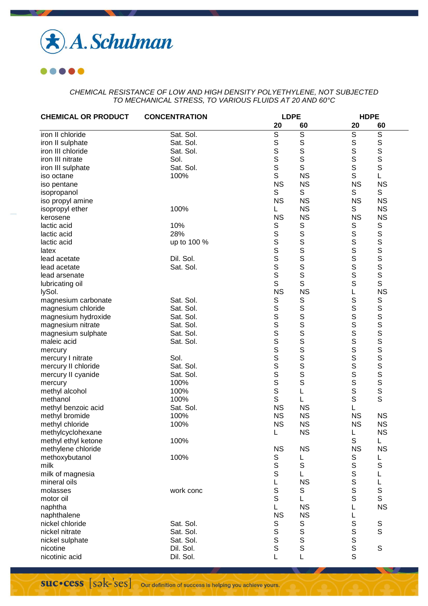

| <b>CHEMICAL OR PRODUCT</b> | <b>CONCENTRATION</b> |                         | <b>LDPE</b>             |                | <b>HDPE</b>      |  |  |
|----------------------------|----------------------|-------------------------|-------------------------|----------------|------------------|--|--|
|                            |                      | 20                      | 60                      | 20             | 60               |  |  |
| iron II chloride           | Sat. Sol.            | $\overline{\mathsf{s}}$ | $\overline{\mathsf{s}}$ | $\overline{s}$ | $\overline{s}$   |  |  |
| iron II sulphate           | Sat. Sol.            | $\mathbf S$             | S                       | $\mathbb S$    | S                |  |  |
| iron III chloride          | Sat. Sol.            | S                       | S                       | S              | $\mathbb S$      |  |  |
| iron III nitrate           | Sol.                 | S                       | S                       | S              | S                |  |  |
| iron III sulphate          | Sat. Sol.            | S                       | S                       | $\mathbb S$    | $\mathbb S$      |  |  |
| iso octane                 | 100%                 | S                       | <b>NS</b>               | S              | L                |  |  |
| iso pentane                |                      | <b>NS</b>               | <b>NS</b>               | <b>NS</b>      | <b>NS</b>        |  |  |
| isopropanol                |                      | $\mathbb S$             | S                       | S              | S                |  |  |
| iso propyl amine           |                      | <b>NS</b>               | <b>NS</b>               | <b>NS</b>      | <b>NS</b>        |  |  |
| isopropyl ether            | 100%                 | L                       | <b>NS</b>               | S              | <b>NS</b>        |  |  |
| kerosene                   |                      | <b>NS</b>               | <b>NS</b>               | <b>NS</b>      | <b>NS</b>        |  |  |
| lactic acid                | 10%                  | S                       | S                       | S              | S                |  |  |
| lactic acid                | 28%                  | $\mathsf{s}$            | S                       | $\mathsf S$    | S                |  |  |
| lactic acid                |                      | S                       | S                       | $\mathsf S$    | S                |  |  |
|                            | up to 100 %          | S                       | S                       | S              |                  |  |  |
| latex                      |                      | S                       |                         |                | S                |  |  |
| lead acetate               | Dil. Sol.            |                         | S                       | $\mathsf S$    | S                |  |  |
| lead acetate               | Sat. Sol.            | S                       | S                       | $\mathbf S$    | S                |  |  |
| lead arsenate              |                      | S                       | $\mathbf S$             | S              | S                |  |  |
| lubricating oil            |                      | S                       | S                       | $\mathbf S$    | $\mathsf S$      |  |  |
| lySol.                     |                      | <b>NS</b>               | <b>NS</b>               | L              | <b>NS</b>        |  |  |
| magnesium carbonate        | Sat. Sol.            | $\mathbb S$             | S                       | $\mathbb S$    | $\mathbb S$      |  |  |
| magnesium chloride         | Sat. Sol.            | S                       | S                       | $\mathsf S$    | $\mathbf S$      |  |  |
| magnesium hydroxide        | Sat. Sol.            |                         | S                       | S              |                  |  |  |
| magnesium nitrate          | Sat. Sol.            | s<br>s                  | s<br>s                  | S              |                  |  |  |
| magnesium sulphate         | Sat. Sol.            |                         |                         | S              | S<br>S<br>S<br>S |  |  |
| maleic acid                | Sat. Sol.            | S                       | S                       | S              |                  |  |  |
| mercury                    |                      | S                       | S                       | S              | S                |  |  |
| mercury I nitrate          | Sol.                 | s<br>s                  | S                       | S              | S                |  |  |
| mercury II chloride        | Sat. Sol.            |                         | S                       | S              | S                |  |  |
| mercury II cyanide         | Sat. Sol.            | s<br>s                  | S                       | $\mathbb S$    | S                |  |  |
| mercury                    | 100%                 |                         | S                       | $\mathbf S$    | S                |  |  |
| methyl alcohol             | 100%                 | S                       | L                       | $\mathbb S$    | S                |  |  |
| methanol                   | 100%                 | S                       | L                       | $\mathbf S$    | $\mathbf S$      |  |  |
| methyl benzoic acid        | Sat. Sol.            | <b>NS</b>               | <b>NS</b>               | L              |                  |  |  |
| methyl bromide             | 100%                 | <b>NS</b>               | <b>NS</b>               | <b>NS</b>      | <b>NS</b>        |  |  |
| methyl chloride            | 100%                 | <b>NS</b>               | <b>NS</b>               | <b>NS</b>      | <b>NS</b>        |  |  |
| methylcyclohexane          |                      |                         | <b>NS</b>               | L              | <b>NS</b>        |  |  |
| methyl ethyl ketone        | 100%                 |                         |                         | $\mathbb S$    | L                |  |  |
| methylene chloride         |                      | <b>NS</b>               | <b>NS</b>               | <b>NS</b>      | <b>NS</b>        |  |  |
| methoxybutanol             | 100%                 |                         |                         | S              | L                |  |  |
| milk                       |                      | S<br>S                  | $\mathbb S$             | S              | $\mathbf S$      |  |  |
| milk of magnesia           |                      | S                       | L                       | S              | L                |  |  |
| mineral oils               |                      | L                       | <b>NS</b>               | S              |                  |  |  |
| molasses                   | work conc            | $\mathbb S$             | S                       | S              | $rac{L}{S}$      |  |  |
| motor oil                  |                      | S                       | L                       | S              |                  |  |  |
|                            |                      | L                       | <b>NS</b>               | L              | <b>NS</b>        |  |  |
| naphtha                    |                      | <b>NS</b>               | <b>NS</b>               |                |                  |  |  |
| naphthalene                |                      |                         |                         | L              |                  |  |  |
| nickel chloride            | Sat. Sol.            | s<br>s                  | s<br>s<br>s             | $\mathbb S$    | $\mathbf{s}$     |  |  |
| nickel nitrate             | Sat. Sol.            |                         |                         | s<br>s         |                  |  |  |
| nickel sulphate            | Sat. Sol.            |                         |                         |                |                  |  |  |
| nicotine                   | Dil. Sol.            | S                       | S                       | $\mathsf S$    | $\mathbb S$      |  |  |
| nicotinic acid             | Dil. Sol.            | L                       | L                       | S              |                  |  |  |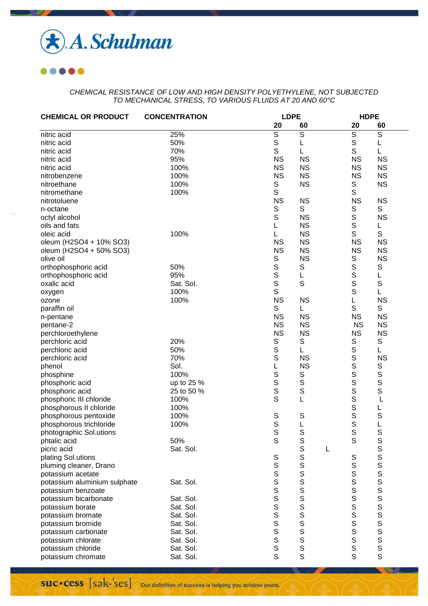

| <b>CHEMICAL OR PRODUCT</b>   | <b>CONCENTRATION</b> |                             | <b>LDPE</b>    |   | <b>HDPE</b>      |                |  |
|------------------------------|----------------------|-----------------------------|----------------|---|------------------|----------------|--|
|                              |                      | 20                          | 60             |   | 20               | 60             |  |
| nitric acid                  | 25%                  | S                           | $\overline{S}$ |   | S                | $\overline{s}$ |  |
| nitric acid                  | 50%                  | $\mathbb S$                 | L              |   | S                | L              |  |
| nitric acid                  | 70%                  | S                           | L              |   | S                | L              |  |
| nitric acid                  | 95%                  | <b>NS</b>                   | <b>NS</b>      |   | <b>NS</b>        | <b>NS</b>      |  |
| nitric acid                  | 100%                 | <b>NS</b>                   | <b>NS</b>      |   | <b>NS</b>        | <b>NS</b>      |  |
| nitrobenzene                 | 100%                 | <b>NS</b>                   | <b>NS</b>      |   | <b>NS</b>        | <b>NS</b>      |  |
| nitroethane                  | 100%                 | S                           | <b>NS</b>      |   | S                | <b>NS</b>      |  |
| nitromethane                 | 100%                 | S                           |                |   | S                |                |  |
| nitrotoluene                 |                      | <b>NS</b>                   | <b>NS</b>      |   | <b>NS</b>        | <b>NS</b>      |  |
| n-octane                     |                      | S                           | S              |   | S                | S              |  |
| octyl alcohol                |                      | S                           | <b>NS</b>      |   | S                | <b>NS</b>      |  |
| oils and fats                |                      | L                           | <b>NS</b>      |   | S                | L              |  |
|                              | 100%                 |                             | <b>NS</b>      |   | S                | S              |  |
| oleic acid                   |                      | L                           |                |   |                  |                |  |
| oleum (H2SO4 + 10% SO3)      |                      | <b>NS</b>                   | <b>NS</b>      |   | <b>NS</b>        | <b>NS</b>      |  |
| oleum (H2SO4 + 50% SO3)      |                      | <b>NS</b>                   | <b>NS</b>      |   | <b>NS</b>        | <b>NS</b>      |  |
| olive oil                    |                      | S                           | <b>NS</b>      |   | S                | <b>NS</b>      |  |
| orthophosphoric acid         | 50%                  | S                           | S              |   | S                | $\mathbb S$    |  |
| orthophosphoric acid         | 95%                  | S                           | L              |   | S                | L              |  |
| oxalic acid                  | Sat. Sol.            | S                           | S              |   | S                | S              |  |
| oxygen                       | 100%                 | $\mathsf S$                 |                |   | S                | L              |  |
| ozone                        | 100%                 | <b>NS</b>                   | <b>NS</b>      |   | L                | <b>NS</b>      |  |
| paraffin oil                 |                      | S                           | L              |   | S                | $\mathbb S$    |  |
| n-pentane                    |                      | <b>NS</b>                   | <b>NS</b>      |   | <b>NS</b>        | <b>NS</b>      |  |
| pentane-2                    |                      | <b>NS</b>                   | <b>NS</b>      |   | <b>NS</b>        | <b>NS</b>      |  |
| perchloroethylene            |                      | <b>NS</b>                   | <b>NS</b>      |   | <b>NS</b>        | <b>NS</b>      |  |
| perchloric acid              | 20%                  | S                           | S              |   | S                | $\mathbb S$    |  |
| perchloric acid              | 50%                  | S                           | Г              |   |                  | L              |  |
| perchloric acid              | 70%                  | S                           | <b>NS</b>      |   | S<br>S<br>S      | <b>NS</b>      |  |
| phenol                       | Sol.                 | L                           | <b>NS</b>      |   |                  | $\mathbb S$    |  |
| phosphine                    | 100%                 | S                           | $\mathbb S$    |   |                  | S              |  |
| phosphoric acid              | up to 25 %           | S                           | $\mathbb S$    |   | S<br>S<br>S      | S              |  |
| phosphoric acid              | 25 to 50 %           | S                           | S              |   |                  | S              |  |
| phosphoric III chloride      | 100%                 | S                           | L              |   | S                | L              |  |
| phosphorous II chloride      | 100%                 |                             |                |   | S                | L              |  |
| phosphorous pentoxide        | 100%                 | S                           | S              |   | S                | S              |  |
| phosphorous trichloride      | 100%                 | S                           | L              |   | S                | L              |  |
| photographic Sol.utions      |                      | S                           | S              |   | S                | S              |  |
| phtalic acid                 | 50%                  | $\mathsf S$                 | S              |   | S                | S              |  |
| picric acid                  | Sat. Sol.            |                             | S              | L |                  | S              |  |
| plating Sol.utions           |                      | $\mathbb S$                 | S              |   | S                |                |  |
| pluming cleaner, Drano       |                      | $\mathsf S$                 | S              |   | S                | $\frac{5}{5}$  |  |
| potassium acetate            |                      | $\mathbb S$                 | $\mathbf S$    |   | S                | S              |  |
| potassium aluminium sulphate | Sat. Sol.            | S                           | S              |   |                  |                |  |
| potassium benzoate           |                      | S                           | S              |   | $\frac{S}{S}$    | s<br>s         |  |
| potassium bicarbonate        | Sat. Sol.            | $\mathbf S$                 | S              |   | S                |                |  |
| potassium borate             | Sat. Sol.            | S                           | S              |   | S                |                |  |
| potassium bromate            | Sat. Sol.            | S                           | S              |   | S                |                |  |
|                              | Sat. Sol.            | S                           | S              |   |                  |                |  |
| potassium bromide            |                      |                             |                |   |                  |                |  |
| potassium carbonate          | Sat. Sol.            | $\mathsf S$<br>$\mathsf{s}$ | S<br>S         |   |                  |                |  |
| potassium chlorate           | Sat. Sol.            |                             |                |   | S<br>S<br>S<br>S |                |  |
| potassium chloride           | Sat. Sol.            | $\mathsf S$                 | $\mathsf S$    |   |                  |                |  |
| potassium chromate           | Sat. Sol.            | S                           | S              |   | S                | $\mathsf{s}$   |  |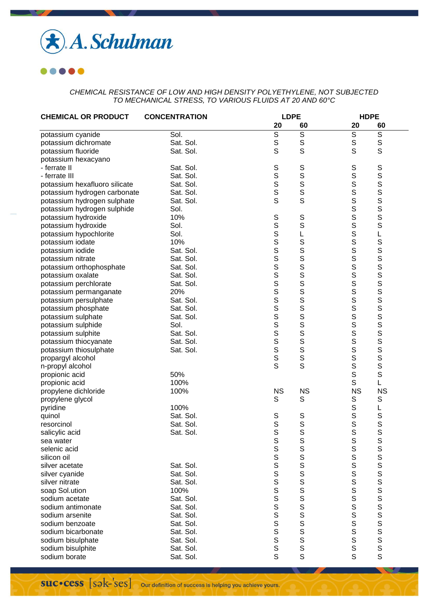

| 20<br>20<br>60<br>60<br>$\overline{S}$<br>$\mathsf S$<br>$\mathbb S$<br>$\mathbb S$<br>Sol.<br>potassium cyanide<br>S<br>$\mathsf S$<br>$\mathbb S$<br>S<br>S<br>Sat. Sol.<br>potassium dichromate<br>S<br>S<br>S<br>Sat. Sol.<br>potassium fluoride<br>potassium hexacyano<br>S<br>S<br>S<br>S<br>$\mathbb S$<br>$\mathbb S$<br>${\mathsf S}$<br>Sat. Sol.<br>- ferrate II<br>S<br>S<br>S<br>Sat. Sol.<br>- ferrate III<br>S<br>S<br>S<br>potassium hexafluoro silicate<br>Sat. Sol.<br>S<br>S<br>S<br>Sat. Sol.<br>potassium hydrogen carbonate<br>S<br>S<br>S<br>S<br>S<br>S<br>$\mathbb S$<br>Sat. Sol.<br>potassium hydrogen sulphate<br>S<br>potassium hydrogen sulphide<br>Sol.<br>S<br>10%<br>SSSS<br>potassium hydroxide<br>S<br>$\bar{s}$<br>S<br>Sol.<br>potassium hydroxide<br>S<br>Sol.<br>potassium hypochlorite<br>L<br>L<br>S<br>S<br>S<br>S<br>S<br>S<br>10%<br>potassium iodate<br>$\mathbf S$<br>Sat. Sol.<br>potassium iodide<br>$\overline{\mathbf{s}}$<br>S<br>S<br>Sat. Sol.<br>potassium nitrate<br>$\overline{\mathbf{s}}$<br>S<br>S<br>$\mathbf S$<br>Sat. Sol.<br>potassium orthophosphate<br><b>SSSSSSSSS</b><br>S<br>$\mathbb S$<br>$\mathbb S$<br>Sat. Sol.<br>potassium oxalate<br>S<br>S<br>S<br>Sat. Sol.<br>potassium perchlorate<br>S<br>S<br>S<br>20%<br>potassium permanganate<br>S<br>S<br>$\mathbb S$<br>S<br>S<br>S<br>Sat. Sol.<br>potassium persulphate<br>S<br>Sat. Sol.<br>potassium phosphate<br>S<br>S<br>Sat. Sol.<br>potassium sulphate<br>S<br>$\mathbf S$<br>S<br>potassium sulphide<br>Sol.<br>SSSS<br>S<br>S<br>Sat. Sol.<br>potassium sulphite<br>s<br>s<br>S<br>Sat. Sol.<br>potassium thiocyanate<br>$\overline{\mathbf{s}}$<br>$\mathsf S$<br>potassium thiosulphate<br>Sat. Sol.<br>S<br>S<br>S<br>propargyl alcohol<br>S<br>S<br>S<br>n-propyl alcohol<br>$\mathbf S$<br>$\mathbf S$<br>50%<br>propionic acid<br>S<br>100%<br>L<br>propionic acid<br><b>NS</b><br><b>NS</b><br><b>NS</b><br><b>NS</b><br>propylene dichloride<br>100%<br>S<br>S<br>$\mathbb S$<br>$\mathbb S$<br>propylene glycol<br>$\mathbb S$<br>100%<br>pyridine<br>L<br>$\mathbb S$<br>S<br>Sat. Sol.<br>S<br>S<br>quinol<br>S<br>S<br>S<br>S<br>Sat. Sol.<br>resorcinol<br>S<br>S<br>S<br>S<br>Sat. Sol.<br>salicylic acid<br>S<br>S<br>S<br>S<br>S<br>S<br>S<br>sea water<br>S<br>S<br>S<br>S<br>selenic acid<br>S<br>$\mathbf S$<br>silicon oil<br>S<br>S<br>$\mathbf S$<br>Sat. Sol.<br>silver acetate<br>S<br>S<br>S<br>S<br>S<br>S<br>S<br>S<br>S<br>S<br>S<br>S<br>S<br>S<br><br><br><br><br><br><br><br><br><br><br><br>S<br>$\mathbb S$<br>Sat. Sol.<br>silver cyanide<br>$\frac{5}{5}$<br>S<br>$\mathbf S$<br>silver nitrate<br>Sat. Sol.<br>S<br>$\mathbb S$<br>soap Sol.ution<br>100%<br>S<br>S<br>S<br>s<br>s<br>$\mathbf S$<br>Sat. Sol.<br>sodium acetate<br>$\mathbb S$<br>Sat. Sol.<br>sodium antimonate<br>S<br>$\mathbf S$<br>Sat. Sol.<br>sodium arsenite<br>S<br>S<br>$\mathbf S$<br>Sat. Sol.<br>sodium benzoate<br>s<br>s<br>S<br>$\mathbb S$<br>sodium bicarbonate<br>Sat. Sol.<br>S<br>$\mathsf S$<br>Sat. Sol.<br>sodium bisulphate<br>S<br>S<br>$\mathsf S$<br>Sat. Sol.<br>sodium bisulphite | <b>CHEMICAL OR PRODUCT</b> | <b>CONCENTRATION</b> |   | <b>LDPE</b> |   | <b>HDPE</b> |  |
|---------------------------------------------------------------------------------------------------------------------------------------------------------------------------------------------------------------------------------------------------------------------------------------------------------------------------------------------------------------------------------------------------------------------------------------------------------------------------------------------------------------------------------------------------------------------------------------------------------------------------------------------------------------------------------------------------------------------------------------------------------------------------------------------------------------------------------------------------------------------------------------------------------------------------------------------------------------------------------------------------------------------------------------------------------------------------------------------------------------------------------------------------------------------------------------------------------------------------------------------------------------------------------------------------------------------------------------------------------------------------------------------------------------------------------------------------------------------------------------------------------------------------------------------------------------------------------------------------------------------------------------------------------------------------------------------------------------------------------------------------------------------------------------------------------------------------------------------------------------------------------------------------------------------------------------------------------------------------------------------------------------------------------------------------------------------------------------------------------------------------------------------------------------------------------------------------------------------------------------------------------------------------------------------------------------------------------------------------------------------------------------------------------------------------------------------------------------------------------------------------------------------------------------------------------------------------------------------------------------------------------------------------------------------------------------------------------------------------------------------------------------------------------------------------------------------------------------------------------------------------------------------------------------------------------------------------------------------------------------------------------------------------------------------------------------------------------------------------------------------------------------------------------|----------------------------|----------------------|---|-------------|---|-------------|--|
|                                                                                                                                                                                                                                                                                                                                                                                                                                                                                                                                                                                                                                                                                                                                                                                                                                                                                                                                                                                                                                                                                                                                                                                                                                                                                                                                                                                                                                                                                                                                                                                                                                                                                                                                                                                                                                                                                                                                                                                                                                                                                                                                                                                                                                                                                                                                                                                                                                                                                                                                                                                                                                                                                                                                                                                                                                                                                                                                                                                                                                                                                                                                                         |                            |                      |   |             |   |             |  |
|                                                                                                                                                                                                                                                                                                                                                                                                                                                                                                                                                                                                                                                                                                                                                                                                                                                                                                                                                                                                                                                                                                                                                                                                                                                                                                                                                                                                                                                                                                                                                                                                                                                                                                                                                                                                                                                                                                                                                                                                                                                                                                                                                                                                                                                                                                                                                                                                                                                                                                                                                                                                                                                                                                                                                                                                                                                                                                                                                                                                                                                                                                                                                         |                            |                      |   |             |   |             |  |
|                                                                                                                                                                                                                                                                                                                                                                                                                                                                                                                                                                                                                                                                                                                                                                                                                                                                                                                                                                                                                                                                                                                                                                                                                                                                                                                                                                                                                                                                                                                                                                                                                                                                                                                                                                                                                                                                                                                                                                                                                                                                                                                                                                                                                                                                                                                                                                                                                                                                                                                                                                                                                                                                                                                                                                                                                                                                                                                                                                                                                                                                                                                                                         |                            |                      |   |             |   |             |  |
|                                                                                                                                                                                                                                                                                                                                                                                                                                                                                                                                                                                                                                                                                                                                                                                                                                                                                                                                                                                                                                                                                                                                                                                                                                                                                                                                                                                                                                                                                                                                                                                                                                                                                                                                                                                                                                                                                                                                                                                                                                                                                                                                                                                                                                                                                                                                                                                                                                                                                                                                                                                                                                                                                                                                                                                                                                                                                                                                                                                                                                                                                                                                                         |                            |                      |   |             |   |             |  |
|                                                                                                                                                                                                                                                                                                                                                                                                                                                                                                                                                                                                                                                                                                                                                                                                                                                                                                                                                                                                                                                                                                                                                                                                                                                                                                                                                                                                                                                                                                                                                                                                                                                                                                                                                                                                                                                                                                                                                                                                                                                                                                                                                                                                                                                                                                                                                                                                                                                                                                                                                                                                                                                                                                                                                                                                                                                                                                                                                                                                                                                                                                                                                         |                            |                      |   |             |   |             |  |
|                                                                                                                                                                                                                                                                                                                                                                                                                                                                                                                                                                                                                                                                                                                                                                                                                                                                                                                                                                                                                                                                                                                                                                                                                                                                                                                                                                                                                                                                                                                                                                                                                                                                                                                                                                                                                                                                                                                                                                                                                                                                                                                                                                                                                                                                                                                                                                                                                                                                                                                                                                                                                                                                                                                                                                                                                                                                                                                                                                                                                                                                                                                                                         |                            |                      |   |             |   |             |  |
|                                                                                                                                                                                                                                                                                                                                                                                                                                                                                                                                                                                                                                                                                                                                                                                                                                                                                                                                                                                                                                                                                                                                                                                                                                                                                                                                                                                                                                                                                                                                                                                                                                                                                                                                                                                                                                                                                                                                                                                                                                                                                                                                                                                                                                                                                                                                                                                                                                                                                                                                                                                                                                                                                                                                                                                                                                                                                                                                                                                                                                                                                                                                                         |                            |                      |   |             |   |             |  |
|                                                                                                                                                                                                                                                                                                                                                                                                                                                                                                                                                                                                                                                                                                                                                                                                                                                                                                                                                                                                                                                                                                                                                                                                                                                                                                                                                                                                                                                                                                                                                                                                                                                                                                                                                                                                                                                                                                                                                                                                                                                                                                                                                                                                                                                                                                                                                                                                                                                                                                                                                                                                                                                                                                                                                                                                                                                                                                                                                                                                                                                                                                                                                         |                            |                      |   |             |   |             |  |
|                                                                                                                                                                                                                                                                                                                                                                                                                                                                                                                                                                                                                                                                                                                                                                                                                                                                                                                                                                                                                                                                                                                                                                                                                                                                                                                                                                                                                                                                                                                                                                                                                                                                                                                                                                                                                                                                                                                                                                                                                                                                                                                                                                                                                                                                                                                                                                                                                                                                                                                                                                                                                                                                                                                                                                                                                                                                                                                                                                                                                                                                                                                                                         |                            |                      |   |             |   |             |  |
|                                                                                                                                                                                                                                                                                                                                                                                                                                                                                                                                                                                                                                                                                                                                                                                                                                                                                                                                                                                                                                                                                                                                                                                                                                                                                                                                                                                                                                                                                                                                                                                                                                                                                                                                                                                                                                                                                                                                                                                                                                                                                                                                                                                                                                                                                                                                                                                                                                                                                                                                                                                                                                                                                                                                                                                                                                                                                                                                                                                                                                                                                                                                                         |                            |                      |   |             |   |             |  |
|                                                                                                                                                                                                                                                                                                                                                                                                                                                                                                                                                                                                                                                                                                                                                                                                                                                                                                                                                                                                                                                                                                                                                                                                                                                                                                                                                                                                                                                                                                                                                                                                                                                                                                                                                                                                                                                                                                                                                                                                                                                                                                                                                                                                                                                                                                                                                                                                                                                                                                                                                                                                                                                                                                                                                                                                                                                                                                                                                                                                                                                                                                                                                         |                            |                      |   |             |   |             |  |
|                                                                                                                                                                                                                                                                                                                                                                                                                                                                                                                                                                                                                                                                                                                                                                                                                                                                                                                                                                                                                                                                                                                                                                                                                                                                                                                                                                                                                                                                                                                                                                                                                                                                                                                                                                                                                                                                                                                                                                                                                                                                                                                                                                                                                                                                                                                                                                                                                                                                                                                                                                                                                                                                                                                                                                                                                                                                                                                                                                                                                                                                                                                                                         |                            |                      |   |             |   |             |  |
|                                                                                                                                                                                                                                                                                                                                                                                                                                                                                                                                                                                                                                                                                                                                                                                                                                                                                                                                                                                                                                                                                                                                                                                                                                                                                                                                                                                                                                                                                                                                                                                                                                                                                                                                                                                                                                                                                                                                                                                                                                                                                                                                                                                                                                                                                                                                                                                                                                                                                                                                                                                                                                                                                                                                                                                                                                                                                                                                                                                                                                                                                                                                                         |                            |                      |   |             |   |             |  |
|                                                                                                                                                                                                                                                                                                                                                                                                                                                                                                                                                                                                                                                                                                                                                                                                                                                                                                                                                                                                                                                                                                                                                                                                                                                                                                                                                                                                                                                                                                                                                                                                                                                                                                                                                                                                                                                                                                                                                                                                                                                                                                                                                                                                                                                                                                                                                                                                                                                                                                                                                                                                                                                                                                                                                                                                                                                                                                                                                                                                                                                                                                                                                         |                            |                      |   |             |   |             |  |
|                                                                                                                                                                                                                                                                                                                                                                                                                                                                                                                                                                                                                                                                                                                                                                                                                                                                                                                                                                                                                                                                                                                                                                                                                                                                                                                                                                                                                                                                                                                                                                                                                                                                                                                                                                                                                                                                                                                                                                                                                                                                                                                                                                                                                                                                                                                                                                                                                                                                                                                                                                                                                                                                                                                                                                                                                                                                                                                                                                                                                                                                                                                                                         |                            |                      |   |             |   |             |  |
|                                                                                                                                                                                                                                                                                                                                                                                                                                                                                                                                                                                                                                                                                                                                                                                                                                                                                                                                                                                                                                                                                                                                                                                                                                                                                                                                                                                                                                                                                                                                                                                                                                                                                                                                                                                                                                                                                                                                                                                                                                                                                                                                                                                                                                                                                                                                                                                                                                                                                                                                                                                                                                                                                                                                                                                                                                                                                                                                                                                                                                                                                                                                                         |                            |                      |   |             |   |             |  |
|                                                                                                                                                                                                                                                                                                                                                                                                                                                                                                                                                                                                                                                                                                                                                                                                                                                                                                                                                                                                                                                                                                                                                                                                                                                                                                                                                                                                                                                                                                                                                                                                                                                                                                                                                                                                                                                                                                                                                                                                                                                                                                                                                                                                                                                                                                                                                                                                                                                                                                                                                                                                                                                                                                                                                                                                                                                                                                                                                                                                                                                                                                                                                         |                            |                      |   |             |   |             |  |
|                                                                                                                                                                                                                                                                                                                                                                                                                                                                                                                                                                                                                                                                                                                                                                                                                                                                                                                                                                                                                                                                                                                                                                                                                                                                                                                                                                                                                                                                                                                                                                                                                                                                                                                                                                                                                                                                                                                                                                                                                                                                                                                                                                                                                                                                                                                                                                                                                                                                                                                                                                                                                                                                                                                                                                                                                                                                                                                                                                                                                                                                                                                                                         |                            |                      |   |             |   |             |  |
|                                                                                                                                                                                                                                                                                                                                                                                                                                                                                                                                                                                                                                                                                                                                                                                                                                                                                                                                                                                                                                                                                                                                                                                                                                                                                                                                                                                                                                                                                                                                                                                                                                                                                                                                                                                                                                                                                                                                                                                                                                                                                                                                                                                                                                                                                                                                                                                                                                                                                                                                                                                                                                                                                                                                                                                                                                                                                                                                                                                                                                                                                                                                                         |                            |                      |   |             |   |             |  |
|                                                                                                                                                                                                                                                                                                                                                                                                                                                                                                                                                                                                                                                                                                                                                                                                                                                                                                                                                                                                                                                                                                                                                                                                                                                                                                                                                                                                                                                                                                                                                                                                                                                                                                                                                                                                                                                                                                                                                                                                                                                                                                                                                                                                                                                                                                                                                                                                                                                                                                                                                                                                                                                                                                                                                                                                                                                                                                                                                                                                                                                                                                                                                         |                            |                      |   |             |   |             |  |
|                                                                                                                                                                                                                                                                                                                                                                                                                                                                                                                                                                                                                                                                                                                                                                                                                                                                                                                                                                                                                                                                                                                                                                                                                                                                                                                                                                                                                                                                                                                                                                                                                                                                                                                                                                                                                                                                                                                                                                                                                                                                                                                                                                                                                                                                                                                                                                                                                                                                                                                                                                                                                                                                                                                                                                                                                                                                                                                                                                                                                                                                                                                                                         |                            |                      |   |             |   |             |  |
|                                                                                                                                                                                                                                                                                                                                                                                                                                                                                                                                                                                                                                                                                                                                                                                                                                                                                                                                                                                                                                                                                                                                                                                                                                                                                                                                                                                                                                                                                                                                                                                                                                                                                                                                                                                                                                                                                                                                                                                                                                                                                                                                                                                                                                                                                                                                                                                                                                                                                                                                                                                                                                                                                                                                                                                                                                                                                                                                                                                                                                                                                                                                                         |                            |                      |   |             |   |             |  |
|                                                                                                                                                                                                                                                                                                                                                                                                                                                                                                                                                                                                                                                                                                                                                                                                                                                                                                                                                                                                                                                                                                                                                                                                                                                                                                                                                                                                                                                                                                                                                                                                                                                                                                                                                                                                                                                                                                                                                                                                                                                                                                                                                                                                                                                                                                                                                                                                                                                                                                                                                                                                                                                                                                                                                                                                                                                                                                                                                                                                                                                                                                                                                         |                            |                      |   |             |   |             |  |
|                                                                                                                                                                                                                                                                                                                                                                                                                                                                                                                                                                                                                                                                                                                                                                                                                                                                                                                                                                                                                                                                                                                                                                                                                                                                                                                                                                                                                                                                                                                                                                                                                                                                                                                                                                                                                                                                                                                                                                                                                                                                                                                                                                                                                                                                                                                                                                                                                                                                                                                                                                                                                                                                                                                                                                                                                                                                                                                                                                                                                                                                                                                                                         |                            |                      |   |             |   |             |  |
|                                                                                                                                                                                                                                                                                                                                                                                                                                                                                                                                                                                                                                                                                                                                                                                                                                                                                                                                                                                                                                                                                                                                                                                                                                                                                                                                                                                                                                                                                                                                                                                                                                                                                                                                                                                                                                                                                                                                                                                                                                                                                                                                                                                                                                                                                                                                                                                                                                                                                                                                                                                                                                                                                                                                                                                                                                                                                                                                                                                                                                                                                                                                                         |                            |                      |   |             |   |             |  |
|                                                                                                                                                                                                                                                                                                                                                                                                                                                                                                                                                                                                                                                                                                                                                                                                                                                                                                                                                                                                                                                                                                                                                                                                                                                                                                                                                                                                                                                                                                                                                                                                                                                                                                                                                                                                                                                                                                                                                                                                                                                                                                                                                                                                                                                                                                                                                                                                                                                                                                                                                                                                                                                                                                                                                                                                                                                                                                                                                                                                                                                                                                                                                         |                            |                      |   |             |   |             |  |
|                                                                                                                                                                                                                                                                                                                                                                                                                                                                                                                                                                                                                                                                                                                                                                                                                                                                                                                                                                                                                                                                                                                                                                                                                                                                                                                                                                                                                                                                                                                                                                                                                                                                                                                                                                                                                                                                                                                                                                                                                                                                                                                                                                                                                                                                                                                                                                                                                                                                                                                                                                                                                                                                                                                                                                                                                                                                                                                                                                                                                                                                                                                                                         |                            |                      |   |             |   |             |  |
|                                                                                                                                                                                                                                                                                                                                                                                                                                                                                                                                                                                                                                                                                                                                                                                                                                                                                                                                                                                                                                                                                                                                                                                                                                                                                                                                                                                                                                                                                                                                                                                                                                                                                                                                                                                                                                                                                                                                                                                                                                                                                                                                                                                                                                                                                                                                                                                                                                                                                                                                                                                                                                                                                                                                                                                                                                                                                                                                                                                                                                                                                                                                                         |                            |                      |   |             |   |             |  |
|                                                                                                                                                                                                                                                                                                                                                                                                                                                                                                                                                                                                                                                                                                                                                                                                                                                                                                                                                                                                                                                                                                                                                                                                                                                                                                                                                                                                                                                                                                                                                                                                                                                                                                                                                                                                                                                                                                                                                                                                                                                                                                                                                                                                                                                                                                                                                                                                                                                                                                                                                                                                                                                                                                                                                                                                                                                                                                                                                                                                                                                                                                                                                         |                            |                      |   |             |   |             |  |
|                                                                                                                                                                                                                                                                                                                                                                                                                                                                                                                                                                                                                                                                                                                                                                                                                                                                                                                                                                                                                                                                                                                                                                                                                                                                                                                                                                                                                                                                                                                                                                                                                                                                                                                                                                                                                                                                                                                                                                                                                                                                                                                                                                                                                                                                                                                                                                                                                                                                                                                                                                                                                                                                                                                                                                                                                                                                                                                                                                                                                                                                                                                                                         |                            |                      |   |             |   |             |  |
|                                                                                                                                                                                                                                                                                                                                                                                                                                                                                                                                                                                                                                                                                                                                                                                                                                                                                                                                                                                                                                                                                                                                                                                                                                                                                                                                                                                                                                                                                                                                                                                                                                                                                                                                                                                                                                                                                                                                                                                                                                                                                                                                                                                                                                                                                                                                                                                                                                                                                                                                                                                                                                                                                                                                                                                                                                                                                                                                                                                                                                                                                                                                                         |                            |                      |   |             |   |             |  |
|                                                                                                                                                                                                                                                                                                                                                                                                                                                                                                                                                                                                                                                                                                                                                                                                                                                                                                                                                                                                                                                                                                                                                                                                                                                                                                                                                                                                                                                                                                                                                                                                                                                                                                                                                                                                                                                                                                                                                                                                                                                                                                                                                                                                                                                                                                                                                                                                                                                                                                                                                                                                                                                                                                                                                                                                                                                                                                                                                                                                                                                                                                                                                         |                            |                      |   |             |   |             |  |
|                                                                                                                                                                                                                                                                                                                                                                                                                                                                                                                                                                                                                                                                                                                                                                                                                                                                                                                                                                                                                                                                                                                                                                                                                                                                                                                                                                                                                                                                                                                                                                                                                                                                                                                                                                                                                                                                                                                                                                                                                                                                                                                                                                                                                                                                                                                                                                                                                                                                                                                                                                                                                                                                                                                                                                                                                                                                                                                                                                                                                                                                                                                                                         |                            |                      |   |             |   |             |  |
|                                                                                                                                                                                                                                                                                                                                                                                                                                                                                                                                                                                                                                                                                                                                                                                                                                                                                                                                                                                                                                                                                                                                                                                                                                                                                                                                                                                                                                                                                                                                                                                                                                                                                                                                                                                                                                                                                                                                                                                                                                                                                                                                                                                                                                                                                                                                                                                                                                                                                                                                                                                                                                                                                                                                                                                                                                                                                                                                                                                                                                                                                                                                                         |                            |                      |   |             |   |             |  |
|                                                                                                                                                                                                                                                                                                                                                                                                                                                                                                                                                                                                                                                                                                                                                                                                                                                                                                                                                                                                                                                                                                                                                                                                                                                                                                                                                                                                                                                                                                                                                                                                                                                                                                                                                                                                                                                                                                                                                                                                                                                                                                                                                                                                                                                                                                                                                                                                                                                                                                                                                                                                                                                                                                                                                                                                                                                                                                                                                                                                                                                                                                                                                         |                            |                      |   |             |   |             |  |
|                                                                                                                                                                                                                                                                                                                                                                                                                                                                                                                                                                                                                                                                                                                                                                                                                                                                                                                                                                                                                                                                                                                                                                                                                                                                                                                                                                                                                                                                                                                                                                                                                                                                                                                                                                                                                                                                                                                                                                                                                                                                                                                                                                                                                                                                                                                                                                                                                                                                                                                                                                                                                                                                                                                                                                                                                                                                                                                                                                                                                                                                                                                                                         |                            |                      |   |             |   |             |  |
|                                                                                                                                                                                                                                                                                                                                                                                                                                                                                                                                                                                                                                                                                                                                                                                                                                                                                                                                                                                                                                                                                                                                                                                                                                                                                                                                                                                                                                                                                                                                                                                                                                                                                                                                                                                                                                                                                                                                                                                                                                                                                                                                                                                                                                                                                                                                                                                                                                                                                                                                                                                                                                                                                                                                                                                                                                                                                                                                                                                                                                                                                                                                                         |                            |                      |   |             |   |             |  |
|                                                                                                                                                                                                                                                                                                                                                                                                                                                                                                                                                                                                                                                                                                                                                                                                                                                                                                                                                                                                                                                                                                                                                                                                                                                                                                                                                                                                                                                                                                                                                                                                                                                                                                                                                                                                                                                                                                                                                                                                                                                                                                                                                                                                                                                                                                                                                                                                                                                                                                                                                                                                                                                                                                                                                                                                                                                                                                                                                                                                                                                                                                                                                         |                            |                      |   |             |   |             |  |
|                                                                                                                                                                                                                                                                                                                                                                                                                                                                                                                                                                                                                                                                                                                                                                                                                                                                                                                                                                                                                                                                                                                                                                                                                                                                                                                                                                                                                                                                                                                                                                                                                                                                                                                                                                                                                                                                                                                                                                                                                                                                                                                                                                                                                                                                                                                                                                                                                                                                                                                                                                                                                                                                                                                                                                                                                                                                                                                                                                                                                                                                                                                                                         |                            |                      |   |             |   |             |  |
|                                                                                                                                                                                                                                                                                                                                                                                                                                                                                                                                                                                                                                                                                                                                                                                                                                                                                                                                                                                                                                                                                                                                                                                                                                                                                                                                                                                                                                                                                                                                                                                                                                                                                                                                                                                                                                                                                                                                                                                                                                                                                                                                                                                                                                                                                                                                                                                                                                                                                                                                                                                                                                                                                                                                                                                                                                                                                                                                                                                                                                                                                                                                                         |                            |                      |   |             |   |             |  |
|                                                                                                                                                                                                                                                                                                                                                                                                                                                                                                                                                                                                                                                                                                                                                                                                                                                                                                                                                                                                                                                                                                                                                                                                                                                                                                                                                                                                                                                                                                                                                                                                                                                                                                                                                                                                                                                                                                                                                                                                                                                                                                                                                                                                                                                                                                                                                                                                                                                                                                                                                                                                                                                                                                                                                                                                                                                                                                                                                                                                                                                                                                                                                         |                            |                      |   |             |   |             |  |
|                                                                                                                                                                                                                                                                                                                                                                                                                                                                                                                                                                                                                                                                                                                                                                                                                                                                                                                                                                                                                                                                                                                                                                                                                                                                                                                                                                                                                                                                                                                                                                                                                                                                                                                                                                                                                                                                                                                                                                                                                                                                                                                                                                                                                                                                                                                                                                                                                                                                                                                                                                                                                                                                                                                                                                                                                                                                                                                                                                                                                                                                                                                                                         |                            |                      |   |             |   |             |  |
|                                                                                                                                                                                                                                                                                                                                                                                                                                                                                                                                                                                                                                                                                                                                                                                                                                                                                                                                                                                                                                                                                                                                                                                                                                                                                                                                                                                                                                                                                                                                                                                                                                                                                                                                                                                                                                                                                                                                                                                                                                                                                                                                                                                                                                                                                                                                                                                                                                                                                                                                                                                                                                                                                                                                                                                                                                                                                                                                                                                                                                                                                                                                                         |                            |                      |   |             |   |             |  |
|                                                                                                                                                                                                                                                                                                                                                                                                                                                                                                                                                                                                                                                                                                                                                                                                                                                                                                                                                                                                                                                                                                                                                                                                                                                                                                                                                                                                                                                                                                                                                                                                                                                                                                                                                                                                                                                                                                                                                                                                                                                                                                                                                                                                                                                                                                                                                                                                                                                                                                                                                                                                                                                                                                                                                                                                                                                                                                                                                                                                                                                                                                                                                         |                            |                      |   |             |   |             |  |
|                                                                                                                                                                                                                                                                                                                                                                                                                                                                                                                                                                                                                                                                                                                                                                                                                                                                                                                                                                                                                                                                                                                                                                                                                                                                                                                                                                                                                                                                                                                                                                                                                                                                                                                                                                                                                                                                                                                                                                                                                                                                                                                                                                                                                                                                                                                                                                                                                                                                                                                                                                                                                                                                                                                                                                                                                                                                                                                                                                                                                                                                                                                                                         |                            |                      |   |             |   |             |  |
|                                                                                                                                                                                                                                                                                                                                                                                                                                                                                                                                                                                                                                                                                                                                                                                                                                                                                                                                                                                                                                                                                                                                                                                                                                                                                                                                                                                                                                                                                                                                                                                                                                                                                                                                                                                                                                                                                                                                                                                                                                                                                                                                                                                                                                                                                                                                                                                                                                                                                                                                                                                                                                                                                                                                                                                                                                                                                                                                                                                                                                                                                                                                                         |                            |                      |   |             |   |             |  |
|                                                                                                                                                                                                                                                                                                                                                                                                                                                                                                                                                                                                                                                                                                                                                                                                                                                                                                                                                                                                                                                                                                                                                                                                                                                                                                                                                                                                                                                                                                                                                                                                                                                                                                                                                                                                                                                                                                                                                                                                                                                                                                                                                                                                                                                                                                                                                                                                                                                                                                                                                                                                                                                                                                                                                                                                                                                                                                                                                                                                                                                                                                                                                         |                            |                      |   |             |   |             |  |
|                                                                                                                                                                                                                                                                                                                                                                                                                                                                                                                                                                                                                                                                                                                                                                                                                                                                                                                                                                                                                                                                                                                                                                                                                                                                                                                                                                                                                                                                                                                                                                                                                                                                                                                                                                                                                                                                                                                                                                                                                                                                                                                                                                                                                                                                                                                                                                                                                                                                                                                                                                                                                                                                                                                                                                                                                                                                                                                                                                                                                                                                                                                                                         |                            |                      |   |             |   |             |  |
|                                                                                                                                                                                                                                                                                                                                                                                                                                                                                                                                                                                                                                                                                                                                                                                                                                                                                                                                                                                                                                                                                                                                                                                                                                                                                                                                                                                                                                                                                                                                                                                                                                                                                                                                                                                                                                                                                                                                                                                                                                                                                                                                                                                                                                                                                                                                                                                                                                                                                                                                                                                                                                                                                                                                                                                                                                                                                                                                                                                                                                                                                                                                                         |                            |                      |   |             |   |             |  |
|                                                                                                                                                                                                                                                                                                                                                                                                                                                                                                                                                                                                                                                                                                                                                                                                                                                                                                                                                                                                                                                                                                                                                                                                                                                                                                                                                                                                                                                                                                                                                                                                                                                                                                                                                                                                                                                                                                                                                                                                                                                                                                                                                                                                                                                                                                                                                                                                                                                                                                                                                                                                                                                                                                                                                                                                                                                                                                                                                                                                                                                                                                                                                         |                            |                      |   |             |   |             |  |
|                                                                                                                                                                                                                                                                                                                                                                                                                                                                                                                                                                                                                                                                                                                                                                                                                                                                                                                                                                                                                                                                                                                                                                                                                                                                                                                                                                                                                                                                                                                                                                                                                                                                                                                                                                                                                                                                                                                                                                                                                                                                                                                                                                                                                                                                                                                                                                                                                                                                                                                                                                                                                                                                                                                                                                                                                                                                                                                                                                                                                                                                                                                                                         |                            |                      |   |             |   |             |  |
|                                                                                                                                                                                                                                                                                                                                                                                                                                                                                                                                                                                                                                                                                                                                                                                                                                                                                                                                                                                                                                                                                                                                                                                                                                                                                                                                                                                                                                                                                                                                                                                                                                                                                                                                                                                                                                                                                                                                                                                                                                                                                                                                                                                                                                                                                                                                                                                                                                                                                                                                                                                                                                                                                                                                                                                                                                                                                                                                                                                                                                                                                                                                                         |                            |                      |   |             |   |             |  |
|                                                                                                                                                                                                                                                                                                                                                                                                                                                                                                                                                                                                                                                                                                                                                                                                                                                                                                                                                                                                                                                                                                                                                                                                                                                                                                                                                                                                                                                                                                                                                                                                                                                                                                                                                                                                                                                                                                                                                                                                                                                                                                                                                                                                                                                                                                                                                                                                                                                                                                                                                                                                                                                                                                                                                                                                                                                                                                                                                                                                                                                                                                                                                         |                            |                      |   |             |   |             |  |
|                                                                                                                                                                                                                                                                                                                                                                                                                                                                                                                                                                                                                                                                                                                                                                                                                                                                                                                                                                                                                                                                                                                                                                                                                                                                                                                                                                                                                                                                                                                                                                                                                                                                                                                                                                                                                                                                                                                                                                                                                                                                                                                                                                                                                                                                                                                                                                                                                                                                                                                                                                                                                                                                                                                                                                                                                                                                                                                                                                                                                                                                                                                                                         | sodium borate              | Sat. Sol.            | S | S           | S | S           |  |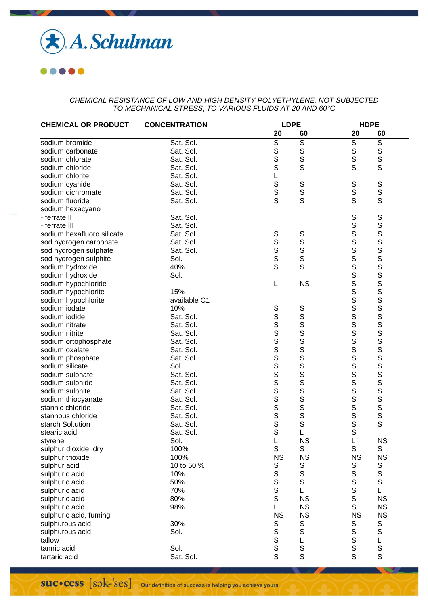

**....** 

| <b>CHEMICAL OR PRODUCT</b> | <b>CONCENTRATION</b> |                | <b>LDPE</b>              |                | <b>HDPE</b>                          |  |  |
|----------------------------|----------------------|----------------|--------------------------|----------------|--------------------------------------|--|--|
|                            |                      | 20             | 60                       | 20             | 60                                   |  |  |
| sodium bromide             | Sat. Sol.            | $\overline{s}$ | $\overline{\mathcal{S}}$ | $\overline{s}$ | $\overline{\mathcal{S}}$             |  |  |
| sodium carbonate           | Sat. Sol.            | S              | S                        | $\mathsf S$    | S                                    |  |  |
| sodium chlorate            | Sat. Sol.            | S              | S                        | S              | S                                    |  |  |
| sodium chloride            | Sat. Sol.            | S              | S                        | S              | S                                    |  |  |
| sodium chlorite            | Sat. Sol.            | L              |                          |                |                                      |  |  |
| sodium cyanide             | Sat. Sol.            |                | $\mathbb S$              | S              | S                                    |  |  |
| sodium dichromate          | Sat. Sol.            | S<br>S<br>S    | S                        | $\mathsf S$    | S                                    |  |  |
| sodium fluoride            | Sat. Sol.            |                | $\overline{\mathbf{s}}$  | S              | S                                    |  |  |
| sodium hexacyano           |                      |                |                          |                |                                      |  |  |
| - ferrate II               | Sat. Sol.            |                |                          | $\mathsf S$    | $\mathsf S$                          |  |  |
| - ferrate III              | Sat. Sol.            |                |                          | $\mathbf S$    |                                      |  |  |
| sodium hexafluoro silicate | Sat. Sol.            | S              | S                        | S              |                                      |  |  |
| sod hydrogen carbonate     | Sat. Sol.            | S              | S                        | S              |                                      |  |  |
| sod hydrogen sulphate      | Sat. Sol.            | s<br>s         | S                        | S              |                                      |  |  |
| sod hydrogen sulphite      | Sol.                 |                | S                        | S              |                                      |  |  |
| sodium hydroxide           | 40%                  | S              | S                        | $\mathsf S$    |                                      |  |  |
| sodium hydroxide           | Sol.                 |                |                          | $\mathsf S$    |                                      |  |  |
| sodium hypochloride        |                      | L              | <b>NS</b>                | $\mathbf S$    |                                      |  |  |
| sodium hypochlorite        | 15%                  |                |                          | $\mathsf S$    |                                      |  |  |
| sodium hypochlorite        | available C1         |                |                          | $\mathsf S$    |                                      |  |  |
| sodium iodate              | 10%                  | $\mathbb S$    | $\mathsf S$              | $\mathsf S$    |                                      |  |  |
| sodium iodide              | Sat. Sol.            | S              | S                        | $\mathsf S$    |                                      |  |  |
| sodium nitrate             | Sat. Sol.            |                | S                        | $\mathsf S$    |                                      |  |  |
| sodium nitrite             | Sat. Sol.            | wwwwwwwww      | S                        | S              | <b>SPERISHES SPERISHES SPERISHES</b> |  |  |
| sodium ortophosphate       | Sat. Sol.            |                | S                        | S              |                                      |  |  |
| sodium oxalate             | Sat. Sol.            |                | S                        | S              |                                      |  |  |
| sodium phosphate           | Sat. Sol.            |                | S                        | $\frac{S}{S}$  |                                      |  |  |
| sodium silicate            | Sol.                 |                | S                        |                |                                      |  |  |
| sodium sulphate            | Sat. Sol.            |                | S                        | $\mathsf S$    |                                      |  |  |
| sodium sulphide            | Sat. Sol.            |                | S                        | S              |                                      |  |  |
| sodium sulphite            | Sat. Sol.            |                | s<br>s                   | S              |                                      |  |  |
| sodium thiocyanate         | Sat. Sol.            |                |                          | $\mathsf S$    |                                      |  |  |
| stannic chloride           | Sat. Sol.            |                | S                        | $\mathsf S$    | S                                    |  |  |
| stannous chloride          | Sat. Sol.            | S              | S                        | $\mathsf S$    | S                                    |  |  |
| starch Sol.ution           | Sat. Sol.            | S              | S                        | $\mathbf S$    | S                                    |  |  |
| stearic acid               | Sat. Sol.            | S              | L                        | $\mathsf{S}$   |                                      |  |  |
| styrene                    | Sol.                 | L              | <b>NS</b>                | L              | <b>NS</b>                            |  |  |
| sulphur dioxide, dry       | 100%                 | $\mathbb S$    | S                        | $\mathsf S$    | $\mathbb S$                          |  |  |
| sulphur trioxide           | 100%                 | <b>NS</b>      | <b>NS</b>                | <b>NS</b>      | <b>NS</b>                            |  |  |
| sulphur acid               | 10 to 50 %           | S              | S                        | S              | $\mathbb S$                          |  |  |
| sulphuric acid             | 10%                  | $\mathbb S$    | $\mathbb S$              | $\mathbb S$    | $\mathbf S$                          |  |  |
| sulphuric acid             | 50%                  | $\mathbf S$    | $\mathbb S$              | $\mathbf S$    | $\mathsf S$                          |  |  |
| sulphuric acid             | 70%                  | $\mathsf S$    | L                        | $\mathsf S$    | L                                    |  |  |
| sulphuric acid             | 80%                  | $\mathsf S$    | <b>NS</b>                | $\mathsf S$    | <b>NS</b>                            |  |  |
| sulphuric acid             | 98%                  | L              | <b>NS</b>                | $\mathsf S$    | <b>NS</b>                            |  |  |
| sulphuric acid, fuming     |                      | <b>NS</b>      | <b>NS</b>                | <b>NS</b>      | <b>NS</b>                            |  |  |
| sulphurous acid            | 30%                  | S              | S                        | $\mathbb S$    | $\mathbb S$                          |  |  |
| sulphurous acid            | Sol.                 | $\mathbb S$    | S                        | $\mathsf S$    | $\mathbf S$                          |  |  |
| tallow                     |                      | S              | L                        | $\mathsf S$    | L                                    |  |  |
| tannic acid                | Sol.                 | $\mathbf S$    | $\mathbb S$              | $\mathsf S$    | s<br>s                               |  |  |
| tartaric acid              | Sat. Sol.            | S              | S                        | S              |                                      |  |  |